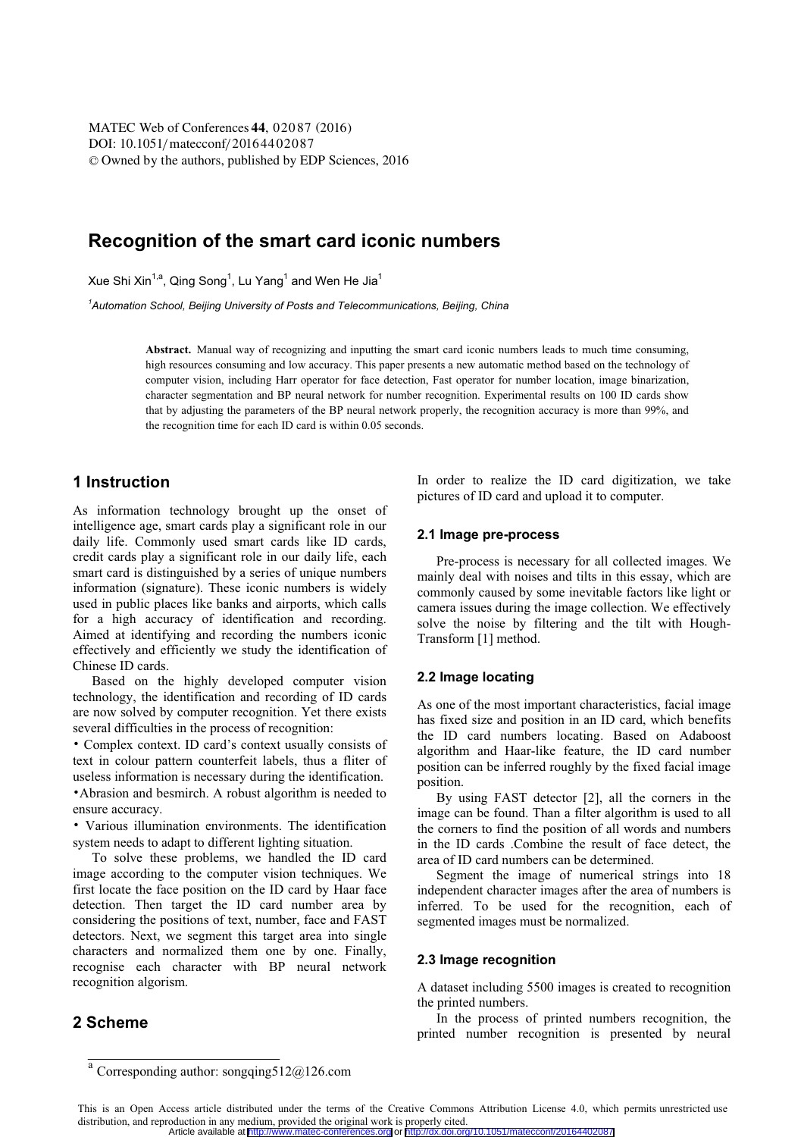DOI: 10.1051/matecconf/20164402087 © Owned by the authors, published by EDP Sciences, 2016 MATEC Web of Conferences 44, 02087 (2016)

# **Recognition of the smart card iconic numbers**

Xue Shi Xin<sup>1,a</sup>, Qing Song<sup>1</sup>, Lu Yang<sup>1</sup> and Wen He Jia<sup>1</sup>

<sup>1</sup> Automation School, Beijing University of Posts and Telecommunications, Beijing, China

**Abstract.** Manual way of recognizing and inputting the smart card iconic numbers leads to much time consuming, high resources consuming and low accuracy. This paper presents a new automatic method based on the technology of computer vision, including Harr operator for face detection, Fast operator for number location, image binarization, character segmentation and BP neural network for number recognition. Experimental results on 100 ID cards show that by adjusting the parameters of the BP neural network properly, the recognition accuracy is more than 99%, and the recognition time for each ID card is within 0.05 seconds.

# **1 Instruction**

As information technology brought up the onset of intelligence age, smart cards play a significant role in our daily life. Commonly used smart cards like ID cards, credit cards play a significant role in our daily life, each smart card is distinguished by a series of unique numbers information (signature). These iconic numbers is widely used in public places like banks and airports, which calls for a high accuracy of identification and recording. Aimed at identifying and recording the numbers iconic effectively and efficiently we study the identification of Chinese ID cards.

Based on the highly developed computer vision technology, the identification and recording of ID cards are now solved by computer recognition. Yet there exists several difficulties in the process of recognition:

Ь Complex context. ID card's context usually consists of text in colour pattern counterfeit labels, thus a fliter of useless information is necessary during the identification.

• Abrasion and besmirch. A robust algorithm is needed to ensure accuracy.

• Various illumination environments. The identification system needs to adapt to different lighting situation.

To solve these problems, we handled the ID card image according to the computer vision techniques. We first locate the face position on the ID card by Haar face detection. Then target the ID card number area by considering the positions of text, number, face and FAST detectors. Next, we segment this target area into single characters and normalized them one by one. Finally, recognise each character with BP neural network recognition algorism.

## In order to realize the ID card digitization, we take pictures of ID card and upload it to computer.

#### **2.1 Image pre-process**

Pre-process is necessary for all collected images. We mainly deal with noises and tilts in this essay, which are commonly caused by some inevitable factors like light or camera issues during the image collection. We effectively solve the noise by filtering and the tilt with Hough-Transform [1] method.

## **2.2 Image locating**

As one of the most important characteristics, facial image has fixed size and position in an ID card, which benefits the ID card numbers locating. Based on Adaboost algorithm and Haar-like feature, the ID card number position can be inferred roughly by the fixed facial image position.

By using FAST detector [2], all the corners in the image can be found. Than a filter algorithm is used to all the corners to find the position of all words and numbers in the ID cards .Combine the result of face detect, the area of ID card numbers can be determined.

Segment the image of numerical strings into 18 independent character images after the area of numbers is inferred. To be used for the recognition, each of segmented images must be normalized.

## **2.3 Image recognition**

A dataset including 5500 images is created to recognition the printed numbers.

In the process of printed numbers recognition, the printed number recognition is presented by neural

# **2 Scheme**

Corresponding author: songqing512@126.com

This is an Open Access article distributed under the terms of the Creative Commons Attribution License 4.0, which permits unrestricted use distribution, and reproduction in any medium, provided the original work is properly cited. Article available at <http://www.matec-conferences.org> or <http://dx.doi.org/10.1051/matecconf/20164402087>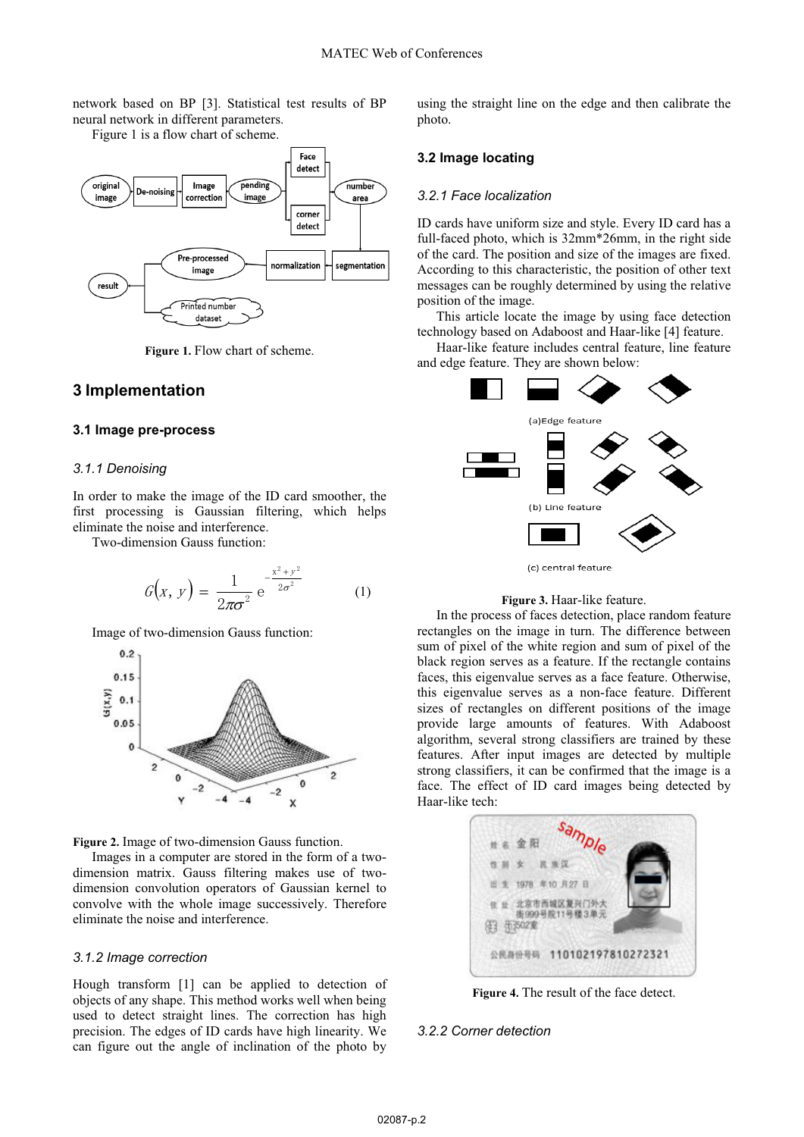network based on BP [3]. Statistical test results of BP neural network in different parameters.

Figure 1 is a flow chart of scheme.



**Figure 1.** Flow chart of scheme.

## **3 Implementation**

#### **3.1 Image pre-process**

#### *3.1.1 Denoising*

In order to make the image of the ID card smoother, the first processing is Gaussian filtering, which helps eliminate the noise and interference.

Two-dimension Gauss function:

$$
G(x, y) = \frac{1}{2\pi\sigma^2} e^{-\frac{x^2 + y^2}{2\sigma^2}}
$$
 (1)

Image of two-dimension Gauss function:



**Figure 2.** Image of two-dimension Gauss function.

Images in a computer are stored in the form of a twodimension matrix. Gauss filtering makes use of twodimension convolution operators of Gaussian kernel to convolve with the whole image successively. Therefore eliminate the noise and interference.

#### *3.1.2 Image correction*

Hough transform [1] can be applied to detection of objects of any shape. This method works well when being used to detect straight lines. The correction has high precision. The edges of ID cards have high linearity. We can figure out the angle of inclination of the photo by

using the straight line on the edge and then calibrate the photo.

## **3.2 Image locating**

#### *3.2.1 Face localization*

ID cards have uniform size and style. Every ID card has a full-faced photo, which is 32mm\*26mm, in the right side of the card. The position and size of the images are fixed. According to this characteristic, the position of other text messages can be roughly determined by using the relative position of the image.

This article locate the image by using face detection technology based on Adaboost and Haar-like [4] feature.

Haar-like feature includes central feature, line feature and edge feature. They are shown below:





In the process of faces detection, place random feature rectangles on the image in turn. The difference between sum of pixel of the white region and sum of pixel of the black region serves as a feature. If the rectangle contains faces, this eigenvalue serves as a face feature. Otherwise, this eigenvalue serves as a non-face feature. Different sizes of rectangles on different positions of the image provide large amounts of features. With Adaboost algorithm, several strong classifiers are trained by these features. After input images are detected by multiple strong classifiers, it can be confirmed that the image is a face. The effect of ID card images being detected by Haar-like tech:



**Figure 4.** The result of the face detect.

## *3.2.2 Corner detection*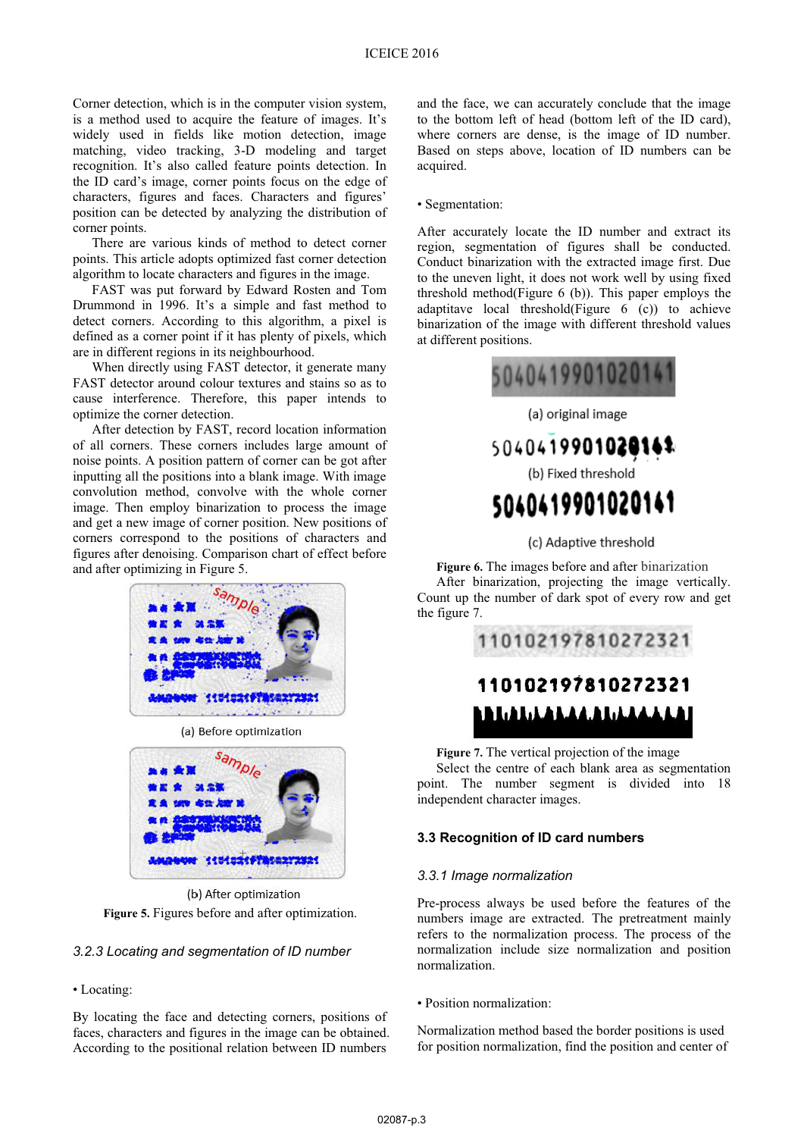Corner detection, which is in the computer vision system, is a method used to acquire the feature of images. It's widely used in fields like motion detection, image matching, video tracking, 3-D modeling and target recognition. It's also called feature points detection. In the ID card's image, corner points focus on the edge of characters, figures and faces. Characters and figures' position can be detected by analyzing the distribution of corner points.

There are various kinds of method to detect corner points. This article adopts optimized fast corner detection algorithm to locate characters and figures in the image.

FAST was put forward by Edward Rosten and Tom Drummond in 1996. It's a simple and fast method to detect corners. According to this algorithm, a pixel is defined as a corner point if it has plenty of pixels, which are in different regions in its neighbourhood.

When directly using FAST detector, it generate many FAST detector around colour textures and stains so as to cause interference. Therefore, this paper intends to optimize the corner detection.

After detection by FAST, record location information of all corners. These corners includes large amount of noise points. A position pattern of corner can be got after inputting all the positions into a blank image. With image convolution method, convolve with the whole corner image. Then employ binarization to process the image and get a new image of corner position. New positions of corners correspond to the positions of characters and figures after denoising. Comparison chart of effect before and after optimizing in Figure 5.



(a) Before optimization



(b) After optimization **Figure 5.** Figures before and after optimization.

## *3.2.3 Locating and segmentation of ID number*

## • Locating:

By locating the face and detecting corners, positions of faces, characters and figures in the image can be obtained. According to the positional relation between ID numbers

and the face, we can accurately conclude that the image to the bottom left of head (bottom left of the ID card), where corners are dense, is the image of ID number. Based on steps above, location of ID numbers can be acquired.

#### • Segmentation:

After accurately locate the ID number and extract its region, segmentation of figures shall be conducted. Conduct binarization with the extracted image first. Due to the uneven light, it does not work well by using fixed threshold method(Figure 6 (b)). This paper employs the adaptitave local threshold(Figure 6 (c)) to achieve binarization of the image with different threshold values at different positions.



(c) Adaptive threshold

**Figure 6.** The images before and after binarization After binarization, projecting the image vertically. Count up the number of dark spot of every row and get the figure 7.



# I I I I I LA LA LA LILLA LA LA

**Figure 7.** The vertical projection of the image

Select the centre of each blank area as segmentation point. The number segment is divided into 18 independent character images.

## **3.3 Recognition of ID card numbers**

#### *3.3.1 Image normalization*

Pre-process always be used before the features of the numbers image are extracted. The pretreatment mainly refers to the normalization process. The process of the normalization include size normalization and position normalization.

#### • Position normalization:

Normalization method based the border positions is used for position normalization, find the position and center of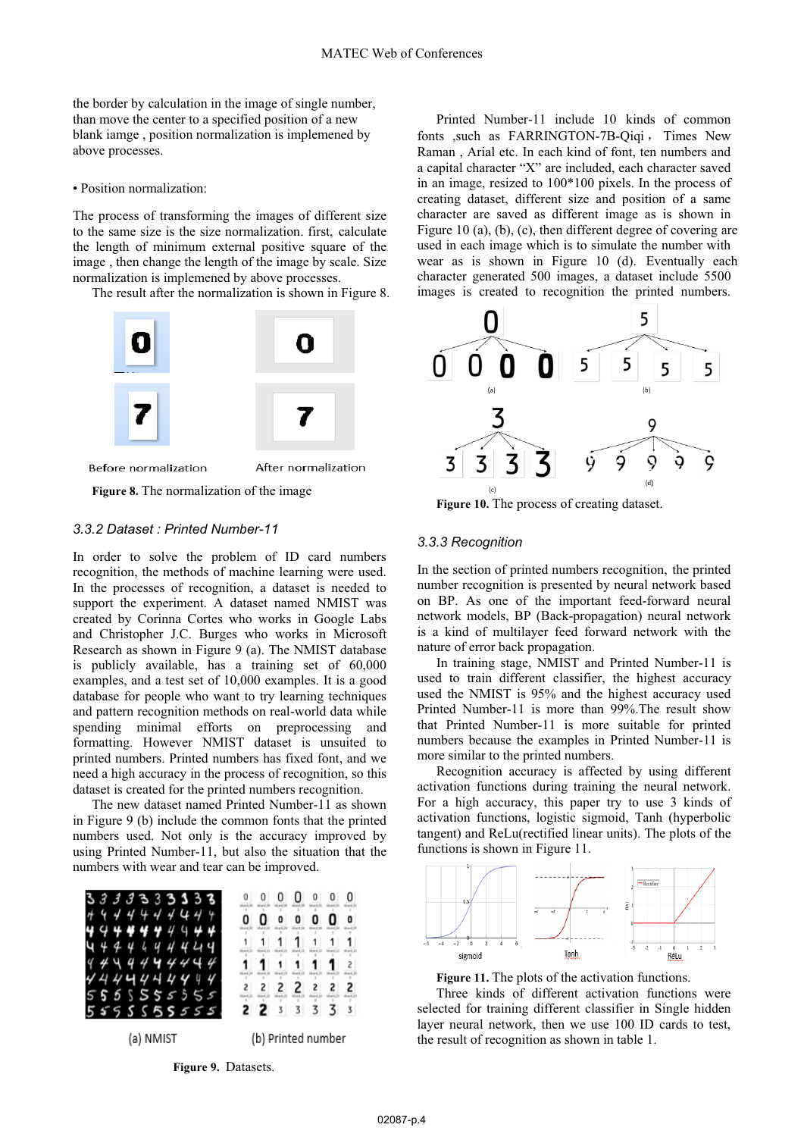the border by calculation in the image of single number, than move the center to a specified position of a new blank iamge , position normalization is implemened by above processes.

#### • Position normalization:

The process of transforming the images of different size to the same size is the size normalization. first, calculate the length of minimum external positive square of the image , then change the length of the image by scale. Size normalization is implemened by above processes.

The result after the normalization is shown in Figure 8.



**Figure 8.** The normalization of the image

## *3.3.2 Dataset : Printed Number-11*

In order to solve the problem of ID card numbers recognition, the methods of machine learning were used. In the processes of recognition, a dataset is needed to support the experiment. A dataset named NMIST was created by Corinna Cortes who works in Google Labs and Christopher J.C. Burges who works in Microsoft Research as shown in Figure 9 (a). The NMIST database is publicly available, has a training set of 60,000 examples, and a test set of 10,000 examples. It is a good database for people who want to try learning techniques and pattern recognition methods on real-world data while spending minimal efforts on preprocessing and formatting. However NMIST dataset is unsuited to printed numbers. Printed numbers has fixed font, and we need a high accuracy in the process of recognition, so this dataset is created for the printed numbers recognition.

The new dataset named Printed Number-11 as shown in Figure 9 (b) include the common fonts that the printed numbers used. Not only is the accuracy improved by using Printed Number-11, but also the situation that the numbers with wear and tear can be improved.



(a) NMIST

(b) Printed number

**Figure 9.** Datasets.

Printed Number-11 include 10 kinds of common fonts , such as FARRINGTON-7B-Qiqi, Times New Raman , Arial etc. In each kind of font, ten numbers and a capital character "X" are included, each character saved in an image, resized to 100\*100 pixels. In the process of creating dataset, different size and position of a same character are saved as different image as is shown in Figure 10 (a), (b), (c), then different degree of covering are used in each image which is to simulate the number with wear as is shown in Figure 10 (d). Eventually each character generated 500 images, a dataset include 5500 images is created to recognition the printed numbers.



**Figure 10.** The process of creating dataset.

#### *3.3.3 Recognition*

In the section of printed numbers recognition, the printed number recognition is presented by neural network based on BP. As one of the important feed-forward neural network models, BP (Back-propagation) neural network is a kind of multilayer feed forward network with the nature of error back propagation.

In training stage, NMIST and Printed Number-11 is used to train different classifier, the highest accuracy used the NMIST is 95% and the highest accuracy used Printed Number-11 is more than 99%.The result show that Printed Number-11 is more suitable for printed numbers because the examples in Printed Number-11 is more similar to the printed numbers.

Recognition accuracy is affected by using different activation functions during training the neural network. For a high accuracy, this paper try to use 3 kinds of activation functions, logistic sigmoid, Tanh (hyperbolic tangent) and ReLu(rectified linear units). The plots of the functions is shown in Figure 11.



**Figure 11.** The plots of the activation functions.

Three kinds of different activation functions were selected for training different classifier in Single hidden layer neural network, then we use 100 ID cards to test, the result of recognition as shown in table 1.